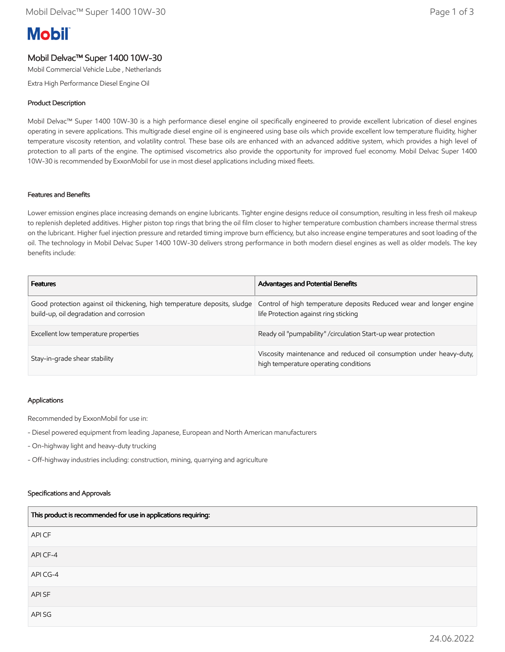# **Mobil**

# Mobil Delvac™ Super 1400 10W-30

Mobil Commercial Vehicle Lube , Netherlands

Extra High Performance Diesel Engine Oil

## Product Description

Mobil Delvac™ Super 1400 10W-30 is a high performance diesel engine oil specifically engineered to provide excellent lubrication of diesel engines operating in severe applications. This multigrade diesel engine oil is engineered using base oils which provide excellent low temperature fluidity, higher temperature viscosity retention, and volatility control. These base oils are enhanced with an advanced additive system, which provides a high level of protection to all parts of the engine. The optimised viscometrics also provide the opportunity for improved fuel economy. Mobil Delvac Super 1400 10W-30 is recommended by ExxonMobil for use in most diesel applications including mixed fleets.

#### Features and Benefits

Lower emission engines place increasing demands on engine lubricants. Tighter engine designs reduce oil consumption, resulting in less fresh oil makeup to replenish depleted additives. Higher piston top rings that bring the oil film closer to higher temperature combustion chambers increase thermal stress on the lubricant. Higher fuel injection pressure and retarded timing improve burn efficiency, but also increase engine temperatures and soot loading of the oil. The technology in Mobil Delvac Super 1400 10W-30 delivers strong performance in both modern diesel engines as well as older models. The key benefits include:

| <b>Features</b>                                                                                                      | Advantages and Potential Benefits                                                                            |
|----------------------------------------------------------------------------------------------------------------------|--------------------------------------------------------------------------------------------------------------|
| Good protection against oil thickening, high temperature deposits, sludge<br>build-up, oil degradation and corrosion | Control of high temperature deposits Reduced wear and longer engine<br>life Protection against ring sticking |
| Excellent low temperature properties                                                                                 | Ready oil "pumpability" / circulation Start-up wear protection                                               |
| Stay-in-grade shear stability                                                                                        | Viscosity maintenance and reduced oil consumption under heavy-duty,<br>high temperature operating conditions |

#### Applications

Recommended by ExxonMobil for use in:

- Diesel powered equipment from leading Japanese, European and North American manufacturers
- On-highway light and heavy-duty trucking
- Off-highway industries including: construction, mining, quarrying and agriculture

#### Specifications and Approvals

| This product is recommended for use in applications requiring: |
|----------------------------------------------------------------|
| API CF                                                         |
| API CF-4                                                       |
| API CG-4                                                       |
| API SF                                                         |
| API SG                                                         |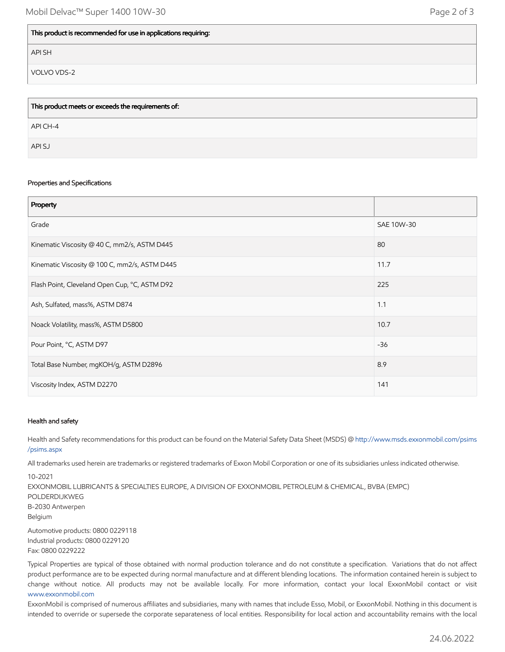### This product is recommended for use in applications requiring:

API SH

VOLVO VDS-2

| This product meets or exceeds the requirements of: |
|----------------------------------------------------|
| API CH-4                                           |
| API SJ                                             |

#### Properties and Specifications

| Property                                      |            |
|-----------------------------------------------|------------|
| Grade                                         | SAE 10W-30 |
| Kinematic Viscosity @ 40 C, mm2/s, ASTM D445  | 80         |
| Kinematic Viscosity @ 100 C, mm2/s, ASTM D445 | 11.7       |
| Flash Point, Cleveland Open Cup, °C, ASTM D92 | 225        |
| Ash, Sulfated, mass%, ASTM D874               | 1.1        |
| Noack Volatility, mass%, ASTM D5800           | 10.7       |
| Pour Point, °C, ASTM D97                      | $-36$      |
| Total Base Number, mgKOH/g, ASTM D2896        | 8.9        |
| Viscosity Index, ASTM D2270                   | 141        |

#### Health and safety

Health and Safety recommendations for this product can be found on the Material Safety Data Sheet (MSDS) @ [http://www.msds.exxonmobil.com/psims](http://www.msds.exxonmobil.com/psims/psims.aspx) /psims.aspx

All trademarks used herein are trademarks or registered trademarks of Exxon Mobil Corporation or one of its subsidiaries unless indicated otherwise.

10-2021 EXXONMOBIL LUBRICANTS & SPECIALTIES EUROPE, A DIVISION OF EXXONMOBIL PETROLEUM & CHEMICAL, BVBA (EMPC) POLDERDIJKWEG B-2030 Antwerpen Belgium Automotive products: 0800 0229118 Industrial products: 0800 0229120

Fax: 0800 0229222

Typical Properties are typical of those obtained with normal production tolerance and do not constitute a specification. Variations that do not affect product performance are to be expected during normal manufacture and at different blending locations. The information contained herein is subject to change without notice. All products may not be available locally. For more information, contact your local ExxonMobil contact or visit [www.exxonmobil.com](http://www.exxonmobil.com/)

ExxonMobil is comprised of numerous affiliates and subsidiaries, many with names that include Esso, Mobil, or ExxonMobil. Nothing in this document is intended to override or supersede the corporate separateness of local entities. Responsibility for local action and accountability remains with the local